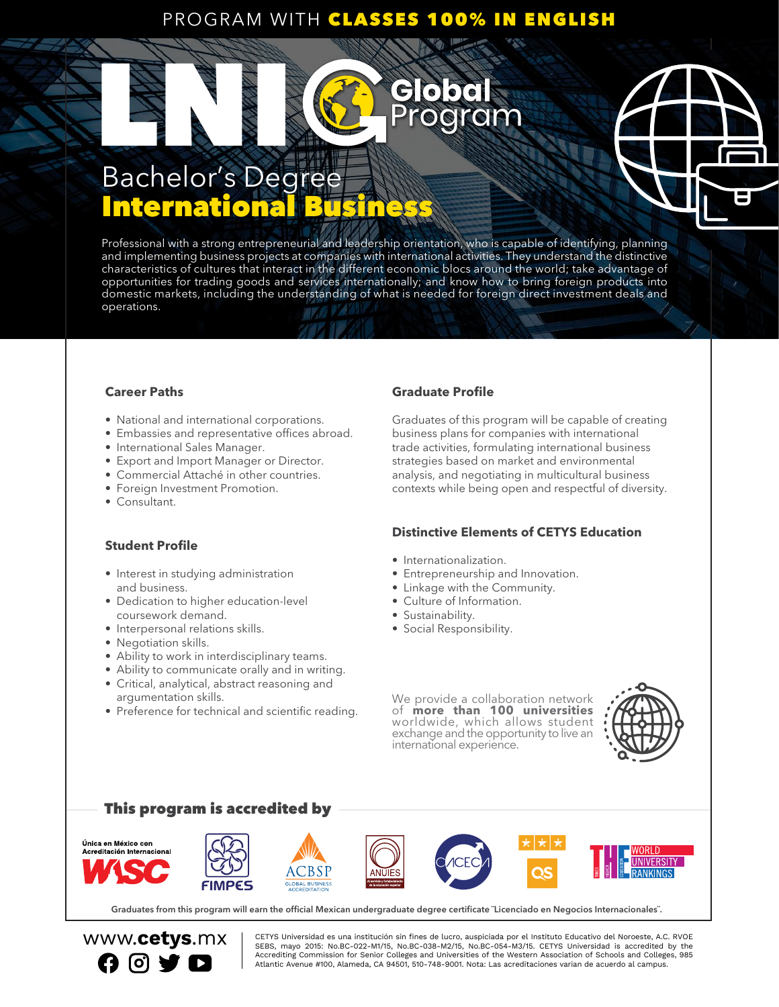### PROGRAM WITH CLASSES 100% IN ENGLISH

doa

oaram

### Bachelor's Degree International Libert Communication

Professional with a strong entrepreneurial and leadership orientation, who is capable of identifying, planning and implementing business projects at companies with international activities. They understand the distinctive characteristics of cultures that interact in the different economic blocs around the world; take advantage of opportunities for trading goods and services internationally; and know how to bring foreign products into domestic markets, including the understanding of what is needed for foreign direct investment deals and operations.

### **Career Paths**

- National and international corporations.
- Embassies and representative offices abroad.
- International Sales Manager.
- Export and Import Manager or Director.
- Commercial Attaché in other countries.
- Foreign Investment Promotion.
- Consultant.

### **Student Profile**

- Interest in studying administration and business.
- Dedication to higher education-level coursework demand.
- Interpersonal relations skills.
- Negotiation skills.
- Ability to work in interdisciplinary teams.
- Ability to communicate orally and in writing.
- Critical, analytical, abstract reasoning and argumentation skills.
- Preference for technical and scientific reading.

### **Graduate Profile**

Graduates of this program will be capable of creating business plans for companies with international trade activities, formulating international business strategies based on market and environmental analysis, and negotiating in multicultural business contexts while being open and respectful of diversity.

### **Distinctive Elements of CETYS Education**

- Internationalization.
- Entrepreneurship and Innovation.
- Linkage with the Community.
- Culture of Information.
- Sustainability.
- Social Responsibility.

We provide a collaboration network of **more than 100 universities** worldwide, which allows student exchange and the opportunity to live an international experience.



### This program is accredited by



Graduates from this program will earn the official Mexican undergraduate degree certificate ¨Licenciado en Negocios Internacionales¨.



WWW.Cetys.mx | CETYS Universidad es una institución sin fines de lucro, auspiciada por el Instituto Educativo del Noroeste, A.C. RVOE<br>CERS. mais 2015: No BC-022-M1/15, No BC-028-M2/15, No BC-054-M2/15, CETYS Universidad is SEBS, mayo 2015: No.BC-022-M1/15, No.BC-038-M2/15, No.BC-054-M3/15. CETYS Universidad is accredited by the Accrediting Commission for Senior Colleges and Universities of the Western Association of Schools and Colleges, 985<br>Atlantic Avenue #100, Alameda, CA 94501, 510-748-9001. Nota: Las acreditaciones varian de acuerdo al campu